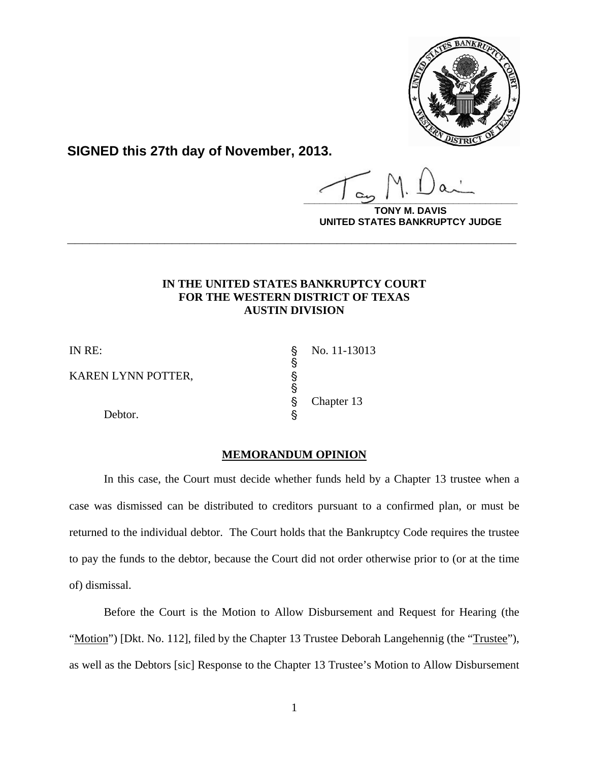

**SIGNED this 27th day of November, 2013.**

**\_\_\_\_\_\_\_\_\_\_\_\_\_\_\_\_\_\_\_\_\_\_\_\_\_\_\_\_\_\_\_\_\_\_\_\_\_\_\_\_**

**AVIS UNITED STATES BANKRUPTCY JUDGE**

## **IN THE UNITED STATES BANKRUPTCY COURT FOR THE WESTERN DISTRICT OF TEXAS AUSTIN DIVISION**

**\_\_\_\_\_\_\_\_\_\_\_\_\_\_\_\_\_\_\_\_\_\_\_\_\_\_\_\_\_\_\_\_\_\_\_\_\_\_\_\_\_\_\_\_\_\_\_\_\_\_\_\_\_\_\_\_\_\_\_\_**

§

§

KAREN LYNN POTTER,

Debtor.

IN RE:  $\qquad \qquad$  No. 11-13013 Chapter 13

## **MEMORANDUM OPINION**

In this case, the Court must decide whether funds held by a Chapter 13 trustee when a case was dismissed can be distributed to creditors pursuant to a confirmed plan, or must be returned to the individual debtor. The Court holds that the Bankruptcy Code requires the trustee to pay the funds to the debtor, because the Court did not order otherwise prior to (or at the time of) dismissal.

Before the Court is the Motion to Allow Disbursement and Request for Hearing (the "Motion") [Dkt. No. 112], filed by the Chapter 13 Trustee Deborah Langehennig (the "Trustee"), as well as the Debtors [sic] Response to the Chapter 13 Trustee's Motion to Allow Disbursement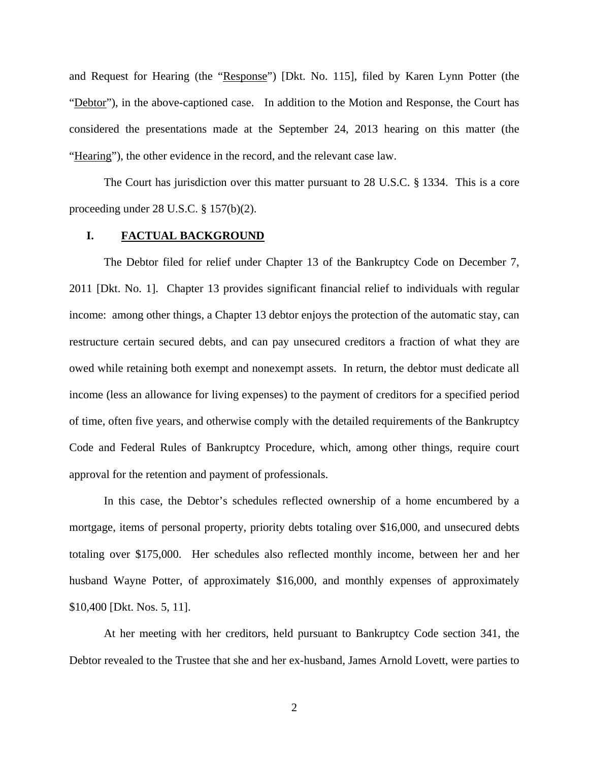and Request for Hearing (the "Response") [Dkt. No. 115], filed by Karen Lynn Potter (the "Debtor"), in the above-captioned case. In addition to the Motion and Response, the Court has considered the presentations made at the September 24, 2013 hearing on this matter (the "Hearing"), the other evidence in the record, and the relevant case law.

The Court has jurisdiction over this matter pursuant to 28 U.S.C. § 1334. This is a core proceeding under 28 U.S.C. § 157(b)(2).

### **I. FACTUAL BACKGROUND**

The Debtor filed for relief under Chapter 13 of the Bankruptcy Code on December 7, 2011 [Dkt. No. 1]. Chapter 13 provides significant financial relief to individuals with regular income: among other things, a Chapter 13 debtor enjoys the protection of the automatic stay, can restructure certain secured debts, and can pay unsecured creditors a fraction of what they are owed while retaining both exempt and nonexempt assets. In return, the debtor must dedicate all income (less an allowance for living expenses) to the payment of creditors for a specified period of time, often five years, and otherwise comply with the detailed requirements of the Bankruptcy Code and Federal Rules of Bankruptcy Procedure, which, among other things, require court approval for the retention and payment of professionals.

In this case, the Debtor's schedules reflected ownership of a home encumbered by a mortgage, items of personal property, priority debts totaling over \$16,000, and unsecured debts totaling over \$175,000. Her schedules also reflected monthly income, between her and her husband Wayne Potter, of approximately \$16,000, and monthly expenses of approximately \$10,400 [Dkt. Nos. 5, 11].

At her meeting with her creditors, held pursuant to Bankruptcy Code section 341, the Debtor revealed to the Trustee that she and her ex-husband, James Arnold Lovett, were parties to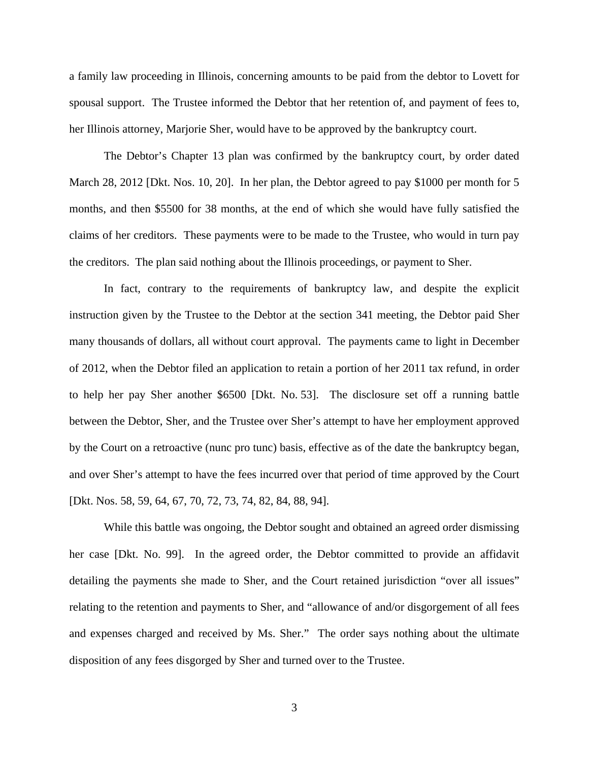a family law proceeding in Illinois, concerning amounts to be paid from the debtor to Lovett for spousal support. The Trustee informed the Debtor that her retention of, and payment of fees to, her Illinois attorney, Marjorie Sher, would have to be approved by the bankruptcy court.

The Debtor's Chapter 13 plan was confirmed by the bankruptcy court, by order dated March 28, 2012 [Dkt. Nos. 10, 20]. In her plan, the Debtor agreed to pay \$1000 per month for 5 months, and then \$5500 for 38 months, at the end of which she would have fully satisfied the claims of her creditors. These payments were to be made to the Trustee, who would in turn pay the creditors. The plan said nothing about the Illinois proceedings, or payment to Sher.

In fact, contrary to the requirements of bankruptcy law, and despite the explicit instruction given by the Trustee to the Debtor at the section 341 meeting, the Debtor paid Sher many thousands of dollars, all without court approval. The payments came to light in December of 2012, when the Debtor filed an application to retain a portion of her 2011 tax refund, in order to help her pay Sher another \$6500 [Dkt. No. 53]. The disclosure set off a running battle between the Debtor, Sher, and the Trustee over Sher's attempt to have her employment approved by the Court on a retroactive (nunc pro tunc) basis, effective as of the date the bankruptcy began, and over Sher's attempt to have the fees incurred over that period of time approved by the Court [Dkt. Nos. 58, 59, 64, 67, 70, 72, 73, 74, 82, 84, 88, 94].

While this battle was ongoing, the Debtor sought and obtained an agreed order dismissing her case [Dkt. No. 99]. In the agreed order, the Debtor committed to provide an affidavit detailing the payments she made to Sher, and the Court retained jurisdiction "over all issues" relating to the retention and payments to Sher, and "allowance of and/or disgorgement of all fees and expenses charged and received by Ms. Sher." The order says nothing about the ultimate disposition of any fees disgorged by Sher and turned over to the Trustee.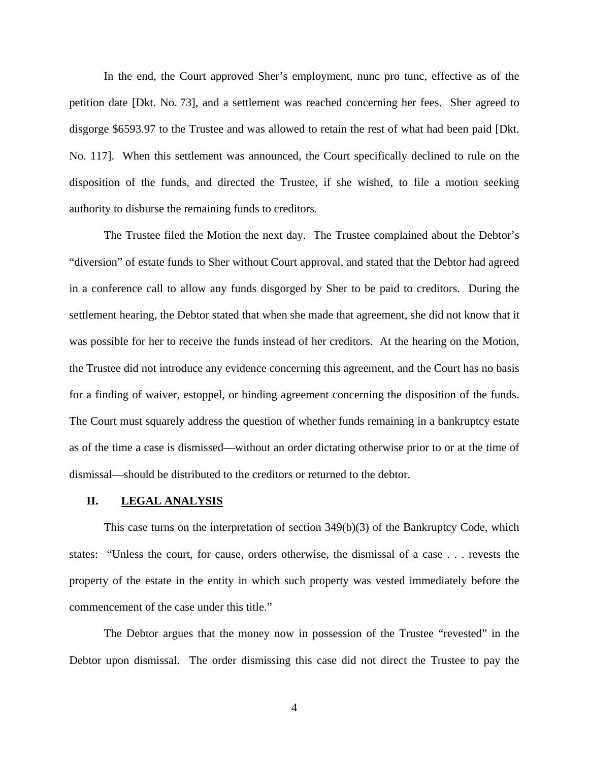In the end, the Court approved Sher's employment, nunc pro tunc, effective as of the petition date [Dkt. No. 73], and a settlement was reached concerning her fees. Sher agreed to disgorge \$6593.97 to the Trustee and was allowed to retain the rest of what had been paid [Dkt. No. 117]. When this settlement was announced, the Court specifically declined to rule on the disposition of the funds, and directed the Trustee, if she wished, to file a motion seeking authority to disburse the remaining funds to creditors.

The Trustee filed the Motion the next day. The Trustee complained about the Debtor's "diversion" of estate funds to Sher without Court approval, and stated that the Debtor had agreed in a conference call to allow any funds disgorged by Sher to be paid to creditors. During the settlement hearing, the Debtor stated that when she made that agreement, she did not know that it was possible for her to receive the funds instead of her creditors. At the hearing on the Motion, the Trustee did not introduce any evidence concerning this agreement, and the Court has no basis for a finding of waiver, estoppel, or binding agreement concerning the disposition of the funds. The Court must squarely address the question of whether funds remaining in a bankruptcy estate as of the time a case is dismissed—without an order dictating otherwise prior to or at the time of dismissal—should be distributed to the creditors or returned to the debtor.

#### **II. LEGAL ANALYSIS**

This case turns on the interpretation of section 349(b)(3) of the Bankruptcy Code, which states: "Unless the court, for cause, orders otherwise, the dismissal of a case . . . revests the property of the estate in the entity in which such property was vested immediately before the commencement of the case under this title."

The Debtor argues that the money now in possession of the Trustee "revested" in the Debtor upon dismissal. The order dismissing this case did not direct the Trustee to pay the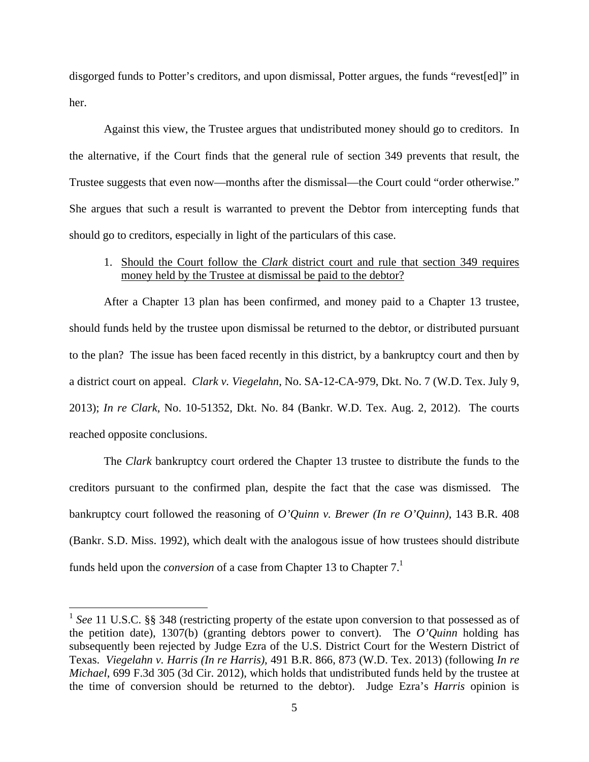disgorged funds to Potter's creditors, and upon dismissal, Potter argues, the funds "revest[ed]" in her.

Against this view, the Trustee argues that undistributed money should go to creditors. In the alternative, if the Court finds that the general rule of section 349 prevents that result, the Trustee suggests that even now—months after the dismissal—the Court could "order otherwise." She argues that such a result is warranted to prevent the Debtor from intercepting funds that should go to creditors, especially in light of the particulars of this case.

## 1. Should the Court follow the *Clark* district court and rule that section 349 requires money held by the Trustee at dismissal be paid to the debtor?

After a Chapter 13 plan has been confirmed, and money paid to a Chapter 13 trustee, should funds held by the trustee upon dismissal be returned to the debtor, or distributed pursuant to the plan? The issue has been faced recently in this district, by a bankruptcy court and then by a district court on appeal. *Clark v. Viegelahn*, No. SA-12-CA-979, Dkt. No. 7 (W.D. Tex. July 9, 2013); *In re Clark*, No. 10-51352, Dkt. No. 84 (Bankr. W.D. Tex. Aug. 2, 2012). The courts reached opposite conclusions.

The *Clark* bankruptcy court ordered the Chapter 13 trustee to distribute the funds to the creditors pursuant to the confirmed plan, despite the fact that the case was dismissed. The bankruptcy court followed the reasoning of *O'Quinn v. Brewer (In re O'Quinn)*, 143 B.R. 408 (Bankr. S.D. Miss. 1992), which dealt with the analogous issue of how trustees should distribute funds held upon the *conversion* of a case from Chapter 13 to Chapter 7.<sup>1</sup>

 $\overline{a}$ 

<sup>&</sup>lt;sup>1</sup> See 11 U.S.C. §§ 348 (restricting property of the estate upon conversion to that possessed as of the petition date), 1307(b) (granting debtors power to convert). The *O'Quinn* holding has subsequently been rejected by Judge Ezra of the U.S. District Court for the Western District of Texas. *Viegelahn v. Harris (In re Harris)*, 491 B.R. 866, 873 (W.D. Tex. 2013) (following *In re Michael*, 699 F.3d 305 (3d Cir. 2012), which holds that undistributed funds held by the trustee at the time of conversion should be returned to the debtor). Judge Ezra's *Harris* opinion is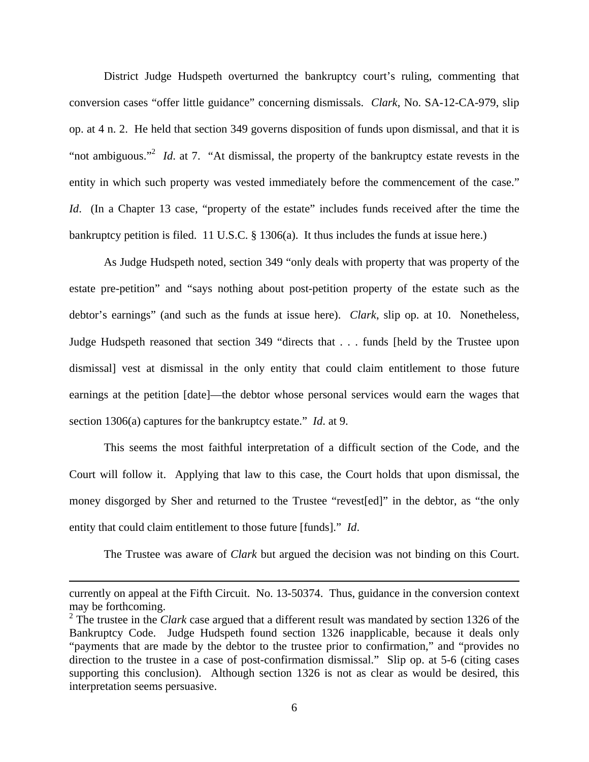District Judge Hudspeth overturned the bankruptcy court's ruling, commenting that conversion cases "offer little guidance" concerning dismissals. *Clark*, No. SA-12-CA-979, slip op. at 4 n. 2. He held that section 349 governs disposition of funds upon dismissal, and that it is "not ambiguous."<sup>2</sup> *Id.* at 7. "At dismissal, the property of the bankruptcy estate revests in the entity in which such property was vested immediately before the commencement of the case." *Id.* (In a Chapter 13 case, "property of the estate" includes funds received after the time the bankruptcy petition is filed. 11 U.S.C. § 1306(a). It thus includes the funds at issue here.)

As Judge Hudspeth noted, section 349 "only deals with property that was property of the estate pre-petition" and "says nothing about post-petition property of the estate such as the debtor's earnings" (and such as the funds at issue here). *Clark*, slip op. at 10. Nonetheless, Judge Hudspeth reasoned that section 349 "directs that . . . funds [held by the Trustee upon dismissal] vest at dismissal in the only entity that could claim entitlement to those future earnings at the petition [date]—the debtor whose personal services would earn the wages that section 1306(a) captures for the bankruptcy estate." *Id*. at 9.

This seems the most faithful interpretation of a difficult section of the Code, and the Court will follow it. Applying that law to this case, the Court holds that upon dismissal, the money disgorged by Sher and returned to the Trustee "revest[ed]" in the debtor, as "the only entity that could claim entitlement to those future [funds]." *Id*.

The Trustee was aware of *Clark* but argued the decision was not binding on this Court.

1

currently on appeal at the Fifth Circuit. No. 13-50374. Thus, guidance in the conversion context may be forthcoming.

 $2^{2}$  The trustee in the *Clark* case argued that a different result was mandated by section 1326 of the Bankruptcy Code. Judge Hudspeth found section 1326 inapplicable, because it deals only "payments that are made by the debtor to the trustee prior to confirmation," and "provides no direction to the trustee in a case of post-confirmation dismissal." Slip op. at 5-6 (citing cases supporting this conclusion). Although section 1326 is not as clear as would be desired, this interpretation seems persuasive.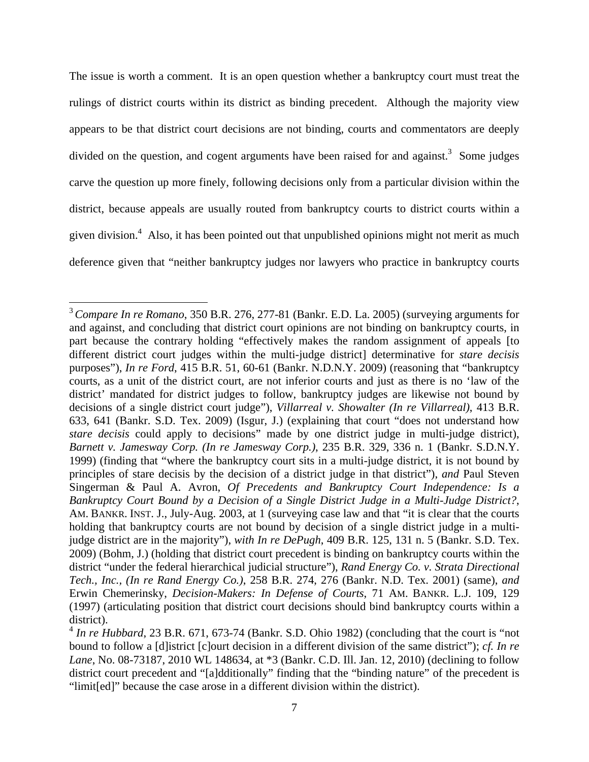The issue is worth a comment. It is an open question whether a bankruptcy court must treat the rulings of district courts within its district as binding precedent. Although the majority view appears to be that district court decisions are not binding, courts and commentators are deeply divided on the question, and cogent arguments have been raised for and against.<sup>3</sup> Some judges carve the question up more finely, following decisions only from a particular division within the district, because appeals are usually routed from bankruptcy courts to district courts within a given division.<sup>4</sup> Also, it has been pointed out that unpublished opinions might not merit as much deference given that "neither bankruptcy judges nor lawyers who practice in bankruptcy courts

 $\overline{a}$ 

<sup>3</sup>*Compare In re Romano*, 350 B.R. 276, 277-81 (Bankr. E.D. La. 2005) (surveying arguments for and against, and concluding that district court opinions are not binding on bankruptcy courts, in part because the contrary holding "effectively makes the random assignment of appeals [to different district court judges within the multi-judge district] determinative for *stare decisis* purposes"), *In re Ford*, 415 B.R. 51, 60-61 (Bankr. N.D.N.Y. 2009) (reasoning that "bankruptcy courts, as a unit of the district court, are not inferior courts and just as there is no 'law of the district' mandated for district judges to follow, bankruptcy judges are likewise not bound by decisions of a single district court judge"), *Villarreal v. Showalter (In re Villarreal)*, 413 B.R. 633, 641 (Bankr. S.D. Tex. 2009) (Isgur, J.) (explaining that court "does not understand how *stare decisis* could apply to decisions" made by one district judge in multi-judge district), *Barnett v. Jamesway Corp. (In re Jamesway Corp.)*, 235 B.R. 329, 336 n. 1 (Bankr. S.D.N.Y. 1999) (finding that "where the bankruptcy court sits in a multi-judge district, it is not bound by principles of stare decisis by the decision of a district judge in that district"), *and* Paul Steven Singerman & Paul A. Avron, *Of Precedents and Bankruptcy Court Independence: Is a Bankruptcy Court Bound by a Decision of a Single District Judge in a Multi-Judge District?*, AM. BANKR. INST. J., July-Aug. 2003, at 1 (surveying case law and that "it is clear that the courts holding that bankruptcy courts are not bound by decision of a single district judge in a multijudge district are in the majority"), *with In re DePugh*, 409 B.R. 125, 131 n. 5 (Bankr. S.D. Tex. 2009) (Bohm, J.) (holding that district court precedent is binding on bankruptcy courts within the district "under the federal hierarchical judicial structure"), *Rand Energy Co. v. Strata Directional Tech., Inc., (In re Rand Energy Co.)*, 258 B.R. 274, 276 (Bankr. N.D. Tex. 2001) (same), *and* Erwin Chemerinsky, *Decision-Makers: In Defense of Courts*, 71 AM. BANKR. L.J. 109, 129 (1997) (articulating position that district court decisions should bind bankruptcy courts within a district).

<sup>&</sup>lt;sup>4</sup> In re Hubbard, 23 B.R. 671, 673-74 (Bankr. S.D. Ohio 1982) (concluding that the court is "not bound to follow a [d]istrict [c]ourt decision in a different division of the same district"); *cf. In re Lane*, No. 08-73187, 2010 WL 148634, at \*3 (Bankr. C.D. Ill. Jan. 12, 2010) (declining to follow district court precedent and "[a]dditionally" finding that the "binding nature" of the precedent is "limit[ed]" because the case arose in a different division within the district).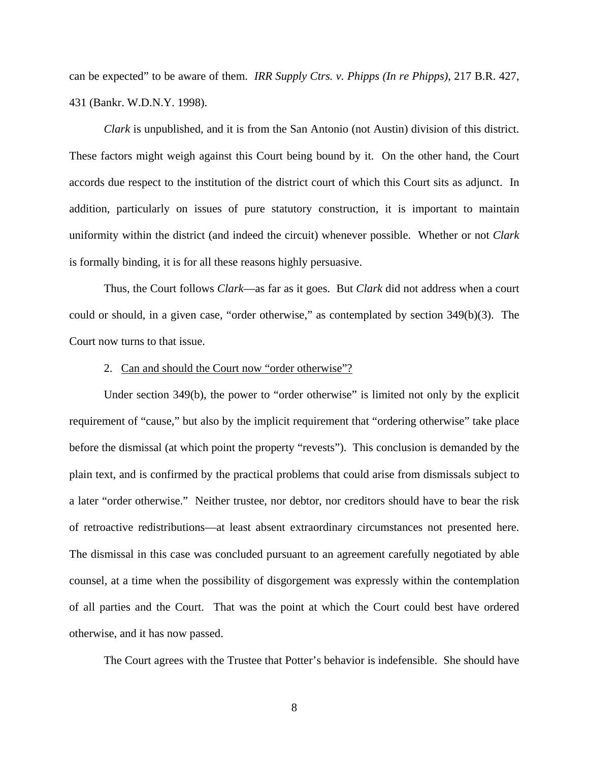can be expected" to be aware of them. *IRR Supply Ctrs. v. Phipps (In re Phipps)*, 217 B.R. 427, 431 (Bankr. W.D.N.Y. 1998).

*Clark* is unpublished, and it is from the San Antonio (not Austin) division of this district. These factors might weigh against this Court being bound by it. On the other hand, the Court accords due respect to the institution of the district court of which this Court sits as adjunct. In addition, particularly on issues of pure statutory construction, it is important to maintain uniformity within the district (and indeed the circuit) whenever possible. Whether or not *Clark* is formally binding, it is for all these reasons highly persuasive.

Thus, the Court follows *Clark*—as far as it goes. But *Clark* did not address when a court could or should, in a given case, "order otherwise," as contemplated by section 349(b)(3). The Court now turns to that issue.

#### 2. Can and should the Court now "order otherwise"?

Under section 349(b), the power to "order otherwise" is limited not only by the explicit requirement of "cause," but also by the implicit requirement that "ordering otherwise" take place before the dismissal (at which point the property "revests"). This conclusion is demanded by the plain text, and is confirmed by the practical problems that could arise from dismissals subject to a later "order otherwise." Neither trustee, nor debtor, nor creditors should have to bear the risk of retroactive redistributions—at least absent extraordinary circumstances not presented here. The dismissal in this case was concluded pursuant to an agreement carefully negotiated by able counsel, at a time when the possibility of disgorgement was expressly within the contemplation of all parties and the Court. That was the point at which the Court could best have ordered otherwise, and it has now passed.

The Court agrees with the Trustee that Potter's behavior is indefensible. She should have